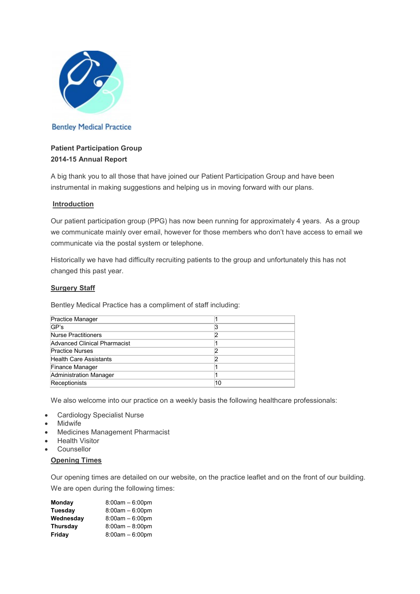

# **Bentley Medical Practice**

# Patient Participation Group 2014-15 Annual Report

A big thank you to all those that have joined our Patient Participation Group and have been instrumental in making suggestions and helping us in moving forward with our plans.

### **Introduction**

Our patient participation group (PPG) has now been running for approximately 4 years. As a group we communicate mainly over email, however for those members who don't have access to email we communicate via the postal system or telephone.

Historically we have had difficulty recruiting patients to the group and unfortunately this has not changed this past year.

### **Surgery Staff**

Bentley Medical Practice has a compliment of staff including:

| <b>Practice Manager</b>       |    |
|-------------------------------|----|
| GP's                          | 3  |
| <b>Nurse Practitioners</b>    |    |
| Advanced Clinical Pharmacist  |    |
| <b>Practice Nurses</b>        |    |
| <b>Health Care Assistants</b> |    |
| <b>Finance Manager</b>        |    |
| Administration Manager        |    |
| Receptionists                 | 10 |

We also welcome into our practice on a weekly basis the following healthcare professionals:

- Cardiology Specialist Nurse
- **Midwife**
- Medicines Management Pharmacist
- **Health Visitor**
- Counsellor

### Opening Times

Our opening times are detailed on our website, on the practice leaflet and on the front of our building. We are open during the following times:

| Monday    | $8:00am - 6:00pm$ |
|-----------|-------------------|
| Tuesdav   | $8:00am - 6:00pm$ |
| Wednesday | $8:00am - 6:00pm$ |
| Thursday  | $8:00am - 8:00pm$ |
| Friday    | $8:00am - 6:00pm$ |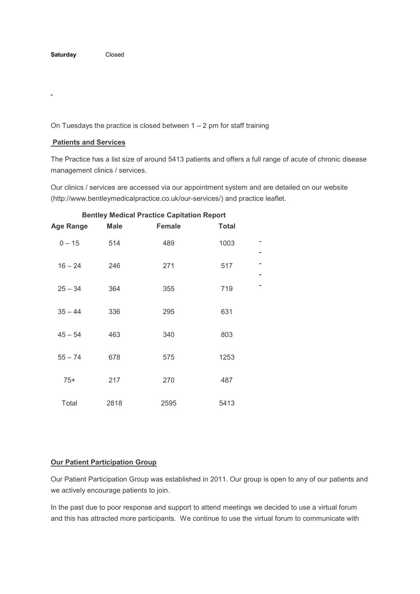$\overline{a}$ 

On Tuesdays the practice is closed between  $1 - 2$  pm for staff training

#### Patients and Services

The Practice has a list size of around 5413 patients and offers a full range of acute of chronic disease management clinics / services.

Our clinics / services are accessed via our appointment system and are detailed on our website (http://www.bentleymedicalpractice.co.uk/our-services/) and practice leaflet.

| <b>Age Range</b> | <b>Male</b> | <b>Female</b> | <b>Total</b> |  |
|------------------|-------------|---------------|--------------|--|
| $0 - 15$         | 514         | 489           | 1003         |  |
| $16 - 24$        | 246         | 271           | 517          |  |
| $25 - 34$        | 364         | 355           | 719          |  |
| $35 - 44$        | 336         | 295           | 631          |  |
| $45 - 54$        | 463         | 340           | 803          |  |
| $55 - 74$        | 678         | 575           | 1253         |  |
| $75+$            | 217         | 270           | 487          |  |
| Total            | 2818        | 2595          | 5413         |  |

### Bentley Medical Practice Capitation Report

#### Our Patient Participation Group

Our Patient Participation Group was established in 2011. Our group is open to any of our patients and we actively encourage patients to join.

In the past due to poor response and support to attend meetings we decided to use a virtual forum and this has attracted more participants. We continue to use the virtual forum to communicate with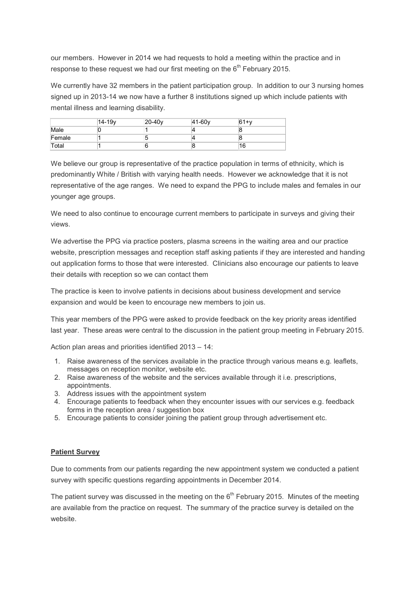our members. However in 2014 we had requests to hold a meeting within the practice and in response to these request we had our first meeting on the  $6<sup>th</sup>$  February 2015.

We currently have 32 members in the patient participation group. In addition to our 3 nursing homes signed up in 2013-14 we now have a further 8 institutions signed up which include patients with mental illness and learning disability.

|        | 14-19v | $20-40v$ | 41-60 <sub>v</sub> | $61+v$ |  |
|--------|--------|----------|--------------------|--------|--|
| Male   |        |          |                    |        |  |
| Female |        |          |                    |        |  |
| Total  |        |          |                    | 16     |  |

We believe our group is representative of the practice population in terms of ethnicity, which is predominantly White / British with varying health needs. However we acknowledge that it is not representative of the age ranges. We need to expand the PPG to include males and females in our younger age groups.

We need to also continue to encourage current members to participate in surveys and giving their views.

We advertise the PPG via practice posters, plasma screens in the waiting area and our practice website, prescription messages and reception staff asking patients if they are interested and handing out application forms to those that were interested. Clinicians also encourage our patients to leave their details with reception so we can contact them

The practice is keen to involve patients in decisions about business development and service expansion and would be keen to encourage new members to join us.

This year members of the PPG were asked to provide feedback on the key priority areas identified last year. These areas were central to the discussion in the patient group meeting in February 2015.

Action plan areas and priorities identified 2013 – 14:

- 1. Raise awareness of the services available in the practice through various means e.g. leaflets, messages on reception monitor, website etc.
- 2. Raise awareness of the website and the services available through it i.e. prescriptions, appointments.
- 3. Address issues with the appointment system
- 4. Encourage patients to feedback when they encounter issues with our services e.g. feedback forms in the reception area / suggestion box
- 5. Encourage patients to consider joining the patient group through advertisement etc.

## Patient Survey

Due to comments from our patients regarding the new appointment system we conducted a patient survey with specific questions regarding appointments in December 2014.

The patient survey was discussed in the meeting on the  $6<sup>th</sup>$  February 2015. Minutes of the meeting are available from the practice on request. The summary of the practice survey is detailed on the website.